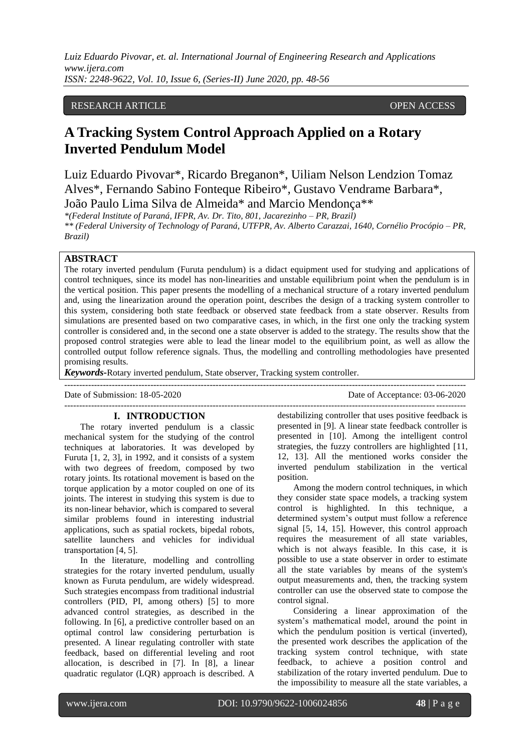## RESEARCH ARTICLE **CONSERVERS** OPEN ACCESS

# **A Tracking System Control Approach Applied on a Rotary Inverted Pendulum Model**

Luiz Eduardo Pivovar\*, Ricardo Breganon\*, Uiliam Nelson Lendzion Tomaz Alves\*, Fernando Sabino Fonteque Ribeiro\*, Gustavo Vendrame Barbara\*, João Paulo Lima Silva de Almeida\* and Marcio Mendonça\*\*

*\*(Federal Institute of Paraná, IFPR, Av. Dr. Tito, 801, Jacarezinho – PR, Brazil) \*\* (Federal University of Technology of Paraná, UTFPR, Av. Alberto Carazzai, 1640, Cornélio Procópio – PR, Brazil)*

## **ABSTRACT**

The rotary inverted pendulum (Furuta pendulum) is a didact equipment used for studying and applications of control techniques, since its model has non-linearities and unstable equilibrium point when the pendulum is in the vertical position. This paper presents the modelling of a mechanical structure of a rotary inverted pendulum and, using the linearization around the operation point, describes the design of a tracking system controller to this system, considering both state feedback or observed state feedback from a state observer. Results from simulations are presented based on two comparative cases, in which, in the first one only the tracking system controller is considered and, in the second one a state observer is added to the strategy. The results show that the proposed control strategies were able to lead the linear model to the equilibrium point, as well as allow the controlled output follow reference signals. Thus, the modelling and controlling methodologies have presented promising results.

---------------------------------------------------------------------------------------------------------------------------------------

*Keywords***-**Rotary inverted pendulum, State observer, Tracking system controller.

---------------------------------------------------------------------------------------------------------------------------------------

Date of Acceptance: 03-06-2020

### **I. INTRODUCTION**

The rotary inverted pendulum is a classic mechanical system for the studying of the control techniques at laboratories. It was developed by Furuta [1, 2, 3], in 1992, and it consists of a system with two degrees of freedom, composed by two rotary joints. Its rotational movement is based on the torque application by a motor coupled on one of its joints. The interest in studying this system is due to its non-linear behavior, which is compared to several similar problems found in interesting industrial applications, such as spatial rockets, bipedal robots, satellite launchers and vehicles for individual transportation [4, 5].

In the literature, modelling and controlling strategies for the rotary inverted pendulum, usually known as Furuta pendulum, are widely widespread. Such strategies encompass from traditional industrial controllers (PID, PI, among others) [5] to more advanced control strategies, as described in the following. In [6], a predictive controller based on an optimal control law considering perturbation is presented. A linear regulating controller with state feedback, based on differential leveling and root allocation, is described in [7]. In [8], a linear quadratic regulator (LQR) approach is described. A

destabilizing controller that uses positive feedback is presented in [9]. A linear state feedback controller is presented in [10]. Among the intelligent control strategies, the fuzzy controllers are highlighted [11, 12, 13]. All the mentioned works consider the inverted pendulum stabilization in the vertical position.

Among the modern control techniques, in which they consider state space models, a tracking system control is highlighted. In this technique, a determined system's output must follow a reference signal [5, 14, 15]. However, this control approach requires the measurement of all state variables, which is not always feasible. In this case, it is possible to use a state observer in order to estimate all the state variables by means of the system's output measurements and, then, the tracking system controller can use the observed state to compose the control signal.

Considering a linear approximation of the system's mathematical model, around the point in which the pendulum position is vertical (inverted), the presented work describes the application of the tracking system control technique, with state feedback, to achieve a position control and stabilization of the rotary inverted pendulum. Due to the impossibility to measure all the state variables, a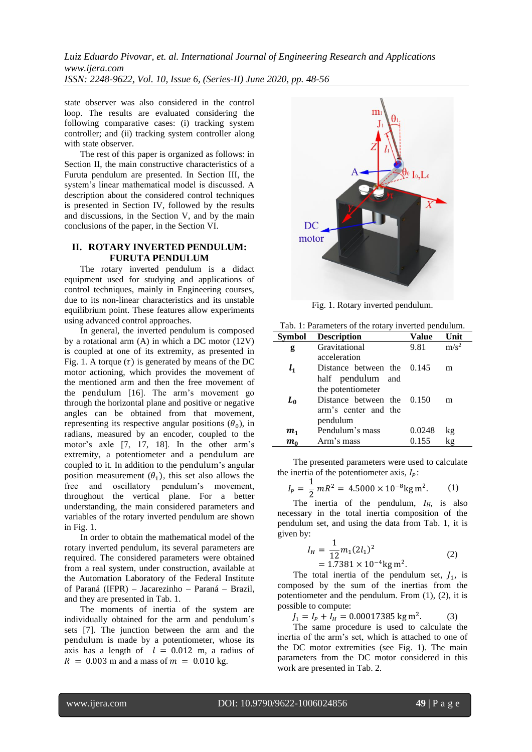state observer was also considered in the control loop. The results are evaluated considering the following comparative cases: (i) tracking system controller; and (ii) tracking system controller along with state observer.

The rest of this paper is organized as follows: in Section II, the main constructive characteristics of a Furuta pendulum are presented. In Section III, the system's linear mathematical model is discussed. A description about the considered control techniques is presented in Section IV, followed by the results and discussions, in the Section V, and by the main conclusions of the paper, in the Section VI.

## **II. ROTARY INVERTED PENDULUM: FURUTA PENDULUM**

The rotary inverted pendulum is a didact equipment used for studying and applications of control techniques, mainly in Engineering courses, due to its non-linear characteristics and its unstable equilibrium point. These features allow experiments using advanced control approaches.

In general, the inverted pendulum is composed by a rotational arm (A) in which a DC motor (12V) is coupled at one of its extremity, as presented in Fig. 1. A torque  $(\tau)$  is generated by means of the DC motor actioning, which provides the movement of the mentioned arm and then the free movement of the pendulum [16]. The arm's movement go through the horizontal plane and positive or negative angles can be obtained from that movement, representing its respective angular positions  $(\theta_0)$ , in radians, measured by an encoder, coupled to the motor's axle [7, 17, 18]. In the other arm's extremity, a potentiometer and a pendulum are coupled to it. In addition to the pendulum's angular position measurement  $(\theta_1)$ , this set also allows the free and oscillatory pendulum's movement, throughout the vertical plane. For a better understanding, the main considered parameters and variables of the rotary inverted pendulum are shown in Fig. 1.

In order to obtain the mathematical model of the rotary inverted pendulum, its several parameters are required. The considered parameters were obtained from a real system, under construction, available at the Automation Laboratory of the Federal Institute of Paraná (IFPR) – Jacarezinho – Paraná – Brazil, and they are presented in Tab. 1.

The moments of inertia of the system are individually obtained for the arm and pendulum's sets [7]. The junction between the arm and the pendulum is made by a potentiometer, whose its axis has a length of  $l = 0.012$  m, a radius of  $R = 0.003$  m and a mass of  $m = 0.010$  kg.



Fig. 1. Rotary inverted pendulum.

Tab. 1: Parameters of the rotary inverted pendulum.

| Symbol         | <b>Description</b>           | Value  | Unit             |
|----------------|------------------------------|--------|------------------|
| g              | Gravitational                | 9.81   | m/s <sup>2</sup> |
|                | acceleration                 |        |                  |
| $l_{1}$        | Distance between the $0.145$ |        | m                |
|                | half pendulum and            |        |                  |
|                | the potentiometer            |        |                  |
| $L_0$          | Distance between the 0.150   |        | m                |
|                | arm's center and the         |        |                  |
|                | pendulum                     |        |                  |
| m <sub>1</sub> | Pendulum's mass              | 0.0248 | kg               |
| $m_0$          | Arm's mass                   | 0.155  | kg               |

The presented parameters were used to calculate the inertia of the potentiometer axis,  $I_p$ :

$$
I_P = \frac{1}{2} mR^2 = 4.5000 \times 10^{-8} \text{kg m}^2. \qquad (1)
$$

The inertia of the pendulum,  $I_H$ , is also necessary in the total inertia composition of the pendulum set, and using the data from Tab. 1, it is given by:

$$
I_H = \frac{1}{12} m_1 (2l_1)^2
$$
  
= 1.7381 × 10<sup>-4</sup> kg m<sup>2</sup>. (2)

The total inertia of the pendulum set,  $J_1$ , is composed by the sum of the inertias from the potentiometer and the pendulum. From (1), (2), it is possible to compute:

 $J_1 = I_p + I_H = 0.00017385$  kg m<sup>2</sup>.  $(3)$ 

The same procedure is used to calculate the inertia of the arm's set, which is attached to one of the DC motor extremities (see Fig. 1). The main parameters from the DC motor considered in this work are presented in Tab. 2.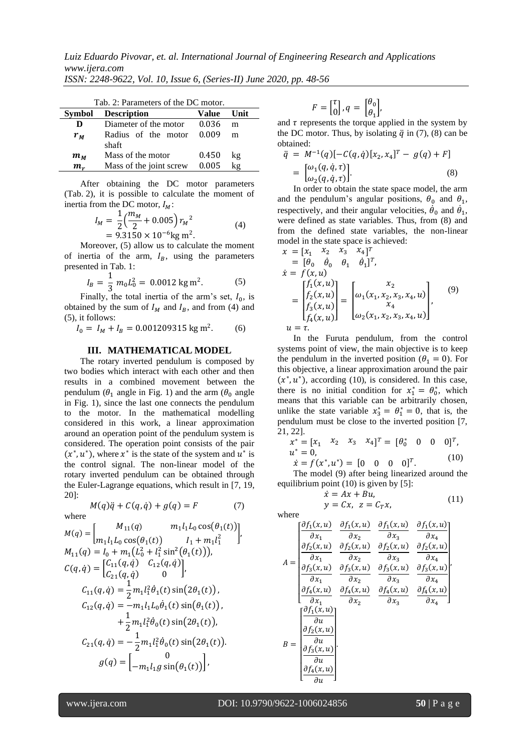*Luiz Eduardo Pivovar, et. al. International Journal of Engineering Research and Applications www.ijera.com*

| ISSN: 2248-9622, Vol. 10, Issue 6, (Series-II) June 2020, pp. 48-56 |  |  |  |  |  |  |  |
|---------------------------------------------------------------------|--|--|--|--|--|--|--|
|---------------------------------------------------------------------|--|--|--|--|--|--|--|

| Tab. 2: Parameters of the DC motor. |                         |       |      |  |  |  |  |
|-------------------------------------|-------------------------|-------|------|--|--|--|--|
| Symbol                              | <b>Description</b>      | Value | Unit |  |  |  |  |
| D                                   | Diameter of the motor   | 0.036 | m    |  |  |  |  |
| $r_M$                               | Radius of the motor     | 0.009 | m    |  |  |  |  |
|                                     | shaft                   |       |      |  |  |  |  |
| $m_M$                               | Mass of the motor       | 0.450 | kg   |  |  |  |  |
| $m_r$                               | Mass of the joint screw | 0.005 | kg   |  |  |  |  |

After obtaining the DC motor parameters (Tab. 2), it is possible to calculate the moment of inertia from the DC motor,  $I_M$ :

$$
I_M = \frac{1}{2} \left( \frac{m_M}{2} + 0.005 \right) r_M^2
$$
  
= 9.3150 × 10<sup>-6</sup> kg m<sup>2</sup>. (4)

Moreover, (5) allow us to calculate the moment of inertia of the arm,  $I_B$ , using the parameters presented in Tab. 1:

$$
I_B = \frac{1}{3} m_0 L_0^2 = 0.0012 \text{ kg m}^2. \tag{5}
$$

Finally, the total inertia of the arm's set,  $I_0$ , is obtained by the sum of  $I_M$  and  $I_B$ , and from (4) and (5), it follows:

$$
I_0 = I_M + I_B = 0.001209315 \text{ kg m}^2. \tag{6}
$$

## **III. MATHEMATICAL MODEL**

The rotary inverted pendulum is composed by two bodies which interact with each other and then results in a combined movement between the pendulum ( $\theta_1$  angle in Fig. 1) and the arm ( $\theta_0$  angle in Fig. 1), since the last one connects the pendulum to the motor. In the mathematical modelling considered in this work, a linear approximation around an operation point of the pendulum system is considered. The operation point consists of the pair  $(x^*, u^*)$ , where  $x^*$  is the state of the system and  $u^*$  is the control signal. The non-linear model of the rotary inverted pendulum can be obtained through the Euler-Lagrange equations, which result in [7, 19, 20]:

$$
M(q)\ddot{q} + C(q,\dot{q}) + g(q) = F \tag{7}
$$

where

$$
M(q) = \begin{bmatrix} M_{11}(q) & m_1l_1L_0 \cos(\theta_1(t)) \\ m_1l_1L_0 \cos(\theta_1(t)) & I_1 + m_1l_1^2 \end{bmatrix},
$$
  
\n
$$
M_{11}(q) = I_0 + m_1(L_0^2 + l_1^2 \sin^2(\theta_1(t))),
$$
  
\n
$$
C(q, \dot{q}) = \begin{bmatrix} C_{11}(q, \dot{q}) & C_{12}(q, \dot{q}) \\ C_{21}(q, \dot{q}) & 0 \end{bmatrix},
$$
  
\n
$$
C_{11}(q, \dot{q}) = \frac{1}{2}m_1l_1^2\dot{\theta}_1(t) \sin(2\theta_1(t)),
$$
  
\n
$$
C_{12}(q, \dot{q}) = -m_1l_1L_0\dot{\theta}_1(t) \sin(\theta_1(t)),
$$
  
\n
$$
+ \frac{1}{2}m_1l_1^2\dot{\theta}_0(t) \sin(2\theta_1(t)),
$$
  
\n
$$
C_{21}(q, \dot{q}) = -\frac{1}{2}m_1l_1^2\dot{\theta}_0(t) \sin(2\theta_1(t)).
$$
  
\n
$$
g(q) = \begin{bmatrix} 0 \\ -m_1l_1g \sin(\theta_1(t)) \end{bmatrix},
$$

$$
F = \begin{bmatrix} \tau \\ 0 \end{bmatrix}, q = \begin{bmatrix} \theta_0 \\ \theta_1 \end{bmatrix},
$$

and  $\tau$  represents the torque applied in the system by the DC motor. Thus, by isolating  $\ddot{q}$  in (7), (8) can be obtained:

$$
\ddot{q} = M^{-1}(q) [-C(q, \dot{q}) [x_2, x_4]^T - g(q) + F]
$$
  
=  $\begin{bmatrix} \omega_1(q, \dot{q}, \tau) \\ \omega_2(q, \dot{q}, \tau) \end{bmatrix}$  (8)

In order to obtain the state space model, the arm and the pendulum's angular positions,  $\theta_0$  and  $\theta_1$ , respectively, and their angular velocities,  $\dot{\theta}_0$  and  $\dot{\theta}_1$ , were defined as state variables. Thus, from (8) and from the defined state variables, the non-linear model in the state space is achieved:

$$
x = [x_1 \quad x_2 \quad x_3 \quad x_4]^T
$$
  
\n
$$
= [\theta_0 \quad \dot{\theta}_0 \quad \theta_1 \quad \dot{\theta}_1]^T,
$$
  
\n
$$
\dot{x} = f(x, u)
$$
  
\n
$$
= \begin{bmatrix} f_1(x, u) \\ f_2(x, u) \\ f_3(x, u) \\ f_4(x, u) \end{bmatrix} = \begin{bmatrix} x_2 \\ \omega_1(x_1, x_2, x_3, x_4, u) \\ x_4 \\ \omega_2(x_1, x_2, x_3, x_4, u) \end{bmatrix},
$$
  
\n(9)  
\n
$$
u = \tau.
$$

In the Furuta pendulum, from the control systems point of view, the main objective is to keep the pendulum in the inverted position ( $\theta_1 = 0$ ). For this objective, a linear approximation around the pair  $(x^*, u^*)$ , according (10), is considered. In this case, there is no initial condition for  $x_1^* = \theta_0^*$ , which means that this variable can be arbitrarily chosen, unlike the state variable  $x_3^* = \theta_1^* = 0$ , that is, the pendulum must be close to the inverted position [7, 21, 22].

$$
x^* = [x_1 \quad x_2 \quad x_3 \quad x_4]^T = [0^* \quad 0 \quad 0 \quad 0]^T, u^* = 0, \dot{x} = f(x^*, u^*) = [0 \quad 0 \quad 0 \quad 0]^T.
$$
 (10)

The model (9) after being linearized around the equilibrium point (10) is given by [5]:

$$
\begin{aligned}\n\dot{x} &= Ax + Bu, \\
y &= Cx, \ z &= C_T x,\n\end{aligned} \tag{11}
$$

where 
$$
\int \partial f_1
$$

$$
A = \begin{bmatrix} \frac{\partial f_1(x, u)}{\partial x_1} & \frac{\partial f_1(x, u)}{\partial x_2} & \frac{\partial f_1(x, u)}{\partial x_3} & \frac{\partial f_1(x, u)}{\partial x_4} \\ \frac{\partial f_2(x, u)}{\partial x_1} & \frac{\partial f_2(x, u)}{\partial x_2} & \frac{\partial f_2(x, u)}{\partial x_3} & \frac{\partial f_2(x, u)}{\partial x_4} \\ \frac{\partial f_3(x, u)}{\partial x_1} & \frac{\partial f_3(x, u)}{\partial x_2} & \frac{\partial f_3(x, u)}{\partial x_3} & \frac{\partial f_3(x, u)}{\partial x_4} \\ \frac{\partial f_4(x, u)}{\partial x_1} & \frac{\partial f_4(x, u)}{\partial x_2} & \frac{\partial f_4(x, u)}{\partial x_3} & \frac{\partial f_4(x, u)}{\partial x_4} \end{bmatrix}
$$

$$
B = \begin{bmatrix} \frac{\partial f_1(x, u)}{\partial u} \\ \frac{\partial f_2(x, u)}{\partial u} \\ \frac{\partial f_3(x, u)}{\partial u} \\ \frac{\partial f_4(x, u)}{\partial u} \\ \frac{\partial f_4(x, u)}{\partial u} \end{bmatrix}
$$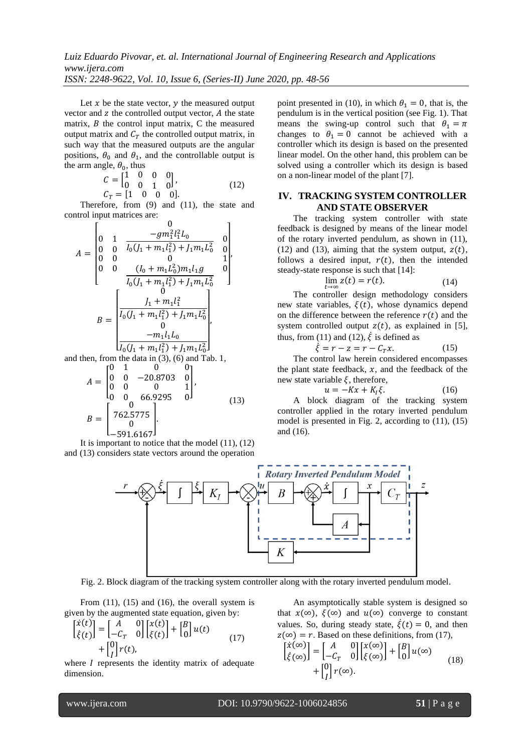Let  $x$  be the state vector,  $y$  the measured output vector and  $z$  the controlled output vector,  $A$  the state matrix,  $B$  the control input matrix,  $C$  the measured output matrix and  $C_T$  the controlled output matrix, in such way that the measured outputs are the angular positions,  $\theta_0$  and  $\theta_1$ , and the controllable output is the arm angle,  $\theta_0$ , thus

$$
C = \begin{bmatrix} 1 & 0 & 0 & 0 \\ 0 & 0 & 1 & 0 \end{bmatrix},
$$
  
\n
$$
C_T = \begin{bmatrix} 1 & 0 & 0 & 0 \end{bmatrix}.
$$
 (12)

Therefore, from (9) and (11), the state and control input matrices are:  $\Omega$ 

$$
A = \begin{bmatrix} 0 & 1 & \frac{-gm_1^2 l_1^2 L_0}{l_0 (l_1 + m_1 l_1^2) + l_1 m_1 L_0^2} & 0 \\ 0 & 0 & 0 & 1 \\ 0 & 0 & (l_0 + m_1 L_0^2) m_1 l_1 g & 0 \\ \frac{-g}{l_0 (l_1 + m_1 l_1^2) + l_1 m_1 L_0^2} & 0 \end{bmatrix}
$$

$$
B = \begin{bmatrix} 0 & 0 & 0 & 0 \\ \frac{l_1 + m_1 l_1^2}{l_0 (l_1 + m_1 l_1^2) + l_1 m_1 L_0^2} & 0 \\ \frac{-m_1 l_1 L_0}{l_0 (l_1 + m_1 l_1^2) + l_1 m_1 L_0^2} & 0 \end{bmatrix}
$$
then, from the data in (3), (6) and Tab. 1.

and then, from the data in (3), (6) and Tab. 1,  
\n
$$
\begin{bmatrix}\n0 & 1 & 0 & 0 \\
0 & 0 & 0 & 0\n\end{bmatrix}
$$

$$
A = \begin{bmatrix} 0 & 0 & -20.8703 & 0 \\ 0 & 0 & 0 & 1 \\ 0 & 0 & 66.9295 & 0 \end{bmatrix},
$$
  
\n
$$
B = \begin{bmatrix} 0 & 0 \\ 762.5775 & 0 \\ 0 & 0 \end{bmatrix}.
$$
 (13)

It is important to notice that the model  $(11)$ ,  $(12)$ and (13) considers state vectors around the operation point presented in (10), in which  $\theta_1 = 0$ , that is, the pendulum is in the vertical position (see Fig. 1). That means the swing-up control such that  $\theta_1 = \pi$ changes to  $\theta_1 = 0$  cannot be achieved with a controller which its design is based on the presented linear model. On the other hand, this problem can be solved using a controller which its design is based on a non-linear model of the plant [7].

## **IV. TRACKING SYSTEM CONTROLLER AND STATE OBSERVER**

The tracking system controller with state feedback is designed by means of the linear model of the rotary inverted pendulum, as shown in (11), (12) and (13), aiming that the system output,  $z(t)$ , follows a desired input,  $r(t)$ , then the intended steady-state response is such that [14]:

$$
\lim_{t \to \infty} z(t) = r(t). \tag{14}
$$

The controller design methodology considers new state variables,  $\xi(t)$ , whose dynamics depend on the difference between the reference  $r(t)$  and the system controlled output  $z(t)$ , as explained in [5], thus, from (11) and (12),  $\dot{\xi}$  is defined as

$$
\dot{\xi} = r - z = r - C_T x. \tag{15}
$$

The control law herein considered encompasses the plant state feedback,  $x$ , and the feedback of the new state variable  $\xi$ , therefore,

$$
u = -Kx + K_I \xi. \tag{16}
$$

A block diagram of the tracking system controller applied in the rotary inverted pendulum model is presented in Fig. 2, according to (11), (15) and (16).



Fig. 2. Block diagram of the tracking system controller along with the rotary inverted pendulum model.

From  $(11)$ ,  $(15)$  and  $(16)$ , the overall system is given by the augmented state equation, given by:

$$
\begin{bmatrix} \dot{x}(t) \\ \dot{\xi}(t) \end{bmatrix} = \begin{bmatrix} A & 0 \\ -C_T & 0 \end{bmatrix} \begin{bmatrix} x(t) \\ \xi(t) \end{bmatrix} + \begin{bmatrix} B \\ 0 \end{bmatrix} u(t) + \begin{bmatrix} 0 \\ I \end{bmatrix} r(t), \tag{17}
$$

where  $I$  represents the identity matrix of adequate dimension.

An asymptotically stable system is designed so that  $x(\infty)$ ,  $\xi(\infty)$  and  $u(\infty)$  converge to constant values. So, during steady state,  $\dot{\xi}(t) = 0$ , and then  $z(\infty) = r$ . Based on these definitions, from (17),

$$
\begin{bmatrix} \dot{x}(\infty) \\ \dot{\xi}(\infty) \end{bmatrix} = \begin{bmatrix} A & 0 \\ -C_T & 0 \end{bmatrix} \begin{bmatrix} x(\infty) \\ \xi(\infty) \end{bmatrix} + \begin{bmatrix} B \\ 0 \end{bmatrix} u(\infty) + \begin{bmatrix} 0 \\ I \end{bmatrix} r(\infty).
$$
 (18)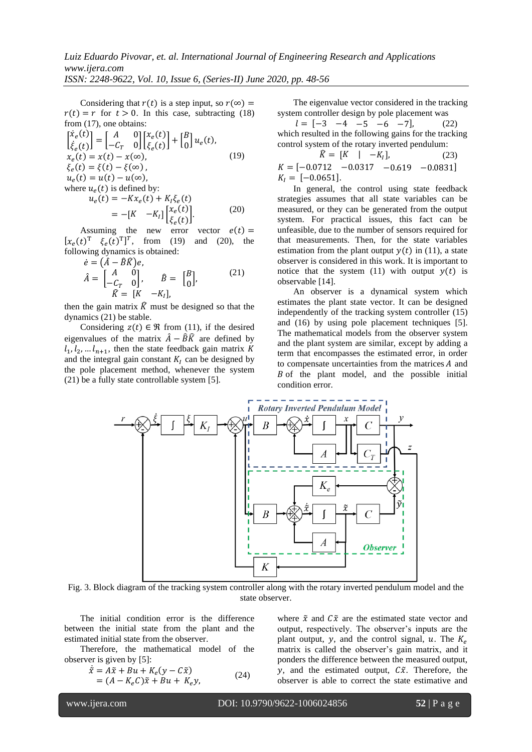Considering that  $r(t)$  is a step input, so  $r(\infty)$  =  $r(t) = r$  for  $t > 0$ . In this case, subtracting (18) from (17), one obtains:

$$
\begin{aligned}\n\begin{bmatrix}\n\dot{x}_e(t) \\
\dot{\xi}_e(t)\n\end{bmatrix} &= \begin{bmatrix}\nA & 0 \\
-C_T & 0\n\end{bmatrix} \begin{bmatrix}\nx_e(t) \\
\xi_e(t)\n\end{bmatrix} + \begin{bmatrix}\nB \\
0\n\end{bmatrix} u_e(t), \\
x_e(t) &= x(t) - x(\infty), \\
\xi_e(t) &= \xi(t) - \xi(\infty), \\
u_e(t) &= u(t) - u(\infty), \\
\text{where } u_e(t) \text{ is defined by:} \\
u_e(t) &= -Kx_e(t) + K_l \xi_e(t) \\
&= -[K - K_l] \begin{bmatrix}\nx_e(t) \\
\xi_e(t)\n\end{bmatrix}.\n\end{aligned} \tag{20}
$$

Assuming the new error vector  $e(t) =$  $[x_e(t)^T \xi_e(t)^T]^T$ , from (19) and (20), the following dynamics is obtained:

$$
\dot{e} = (\hat{A} - \hat{B}\hat{K})e,
$$
  
\n
$$
\hat{A} = \begin{bmatrix} A & 0 \\ -C_T & 0 \end{bmatrix}, \qquad \hat{B} = \begin{bmatrix} B \\ 0 \end{bmatrix},
$$
\n
$$
\hat{K} = [K] -K_I,
$$
\n(21)

then the gain matrix  $\hat{K}$  must be designed so that the dynamics (21) be stable.

Considering  $z(t) \in \Re$  from (11), if the desired eigenvalues of the matrix  $\hat{A} - \hat{B}\hat{K}$  are defined by  $l_1, l_2, \ldots l_{n+1}$ , then the state feedback gain matrix K and the integral gain constant  $K<sub>I</sub>$  can be designed by the pole placement method, whenever the system (21) be a fully state controllable system [5].

The eigenvalue vector considered in the tracking system controller design by pole placement was

 $l = [-3 \ -4 \ -5 \ -6 \ -7],$  (22) which resulted in the following gains for the tracking control system of the rotary inverted pendulum:

$$
\hat{K} = [K \mid -K_I],
$$
\n(23)  
\n
$$
K = [-0.0712 \quad -0.0317 \quad -0.619 \quad -0.0831]
$$
\n
$$
K_I = [-0.0651].
$$

In general, the control using state feedback strategies assumes that all state variables can be measured, or they can be generated from the output system. For practical issues, this fact can be unfeasible, due to the number of sensors required for that measurements. Then, for the state variables estimation from the plant output  $y(t)$  in (11), a state observer is considered in this work. It is important to notice that the system (11) with output  $y(t)$  is observable [14].

An observer is a dynamical system which estimates the plant state vector. It can be designed independently of the tracking system controller (15) and (16) by using pole placement techniques [5]. The mathematical models from the observer system and the plant system are similar, except by adding a term that encompasses the estimated error, in order to compensate uncertainties from the matrices  $A$  and  $B$  of the plant model, and the possible initial condition error.



Fig. 3. Block diagram of the tracking system controller along with the rotary inverted pendulum model and the state observer.

The initial condition error is the difference between the initial state from the plant and the estimated initial state from the observer.

Therefore, the mathematical model of the observer is given by [5]:

$$
\begin{aligned} \dot{\tilde{x}} &= A\tilde{x} + Bu + K_e(y - C\tilde{x}) \\ &= (A - K_e C)\tilde{x} + Bu + K_e y,\end{aligned} \tag{24}
$$

where  $\tilde{x}$  and  $\tilde{C}\tilde{x}$  are the estimated state vector and output, respectively. The observer's inputs are the plant output, y, and the control signal, u. The  $K_e$ matrix is called the observer's gain matrix, and it ponders the difference between the measured output,  $\gamma$ , and the estimated output,  $\tilde{C}$ . Therefore, the observer is able to correct the state estimative and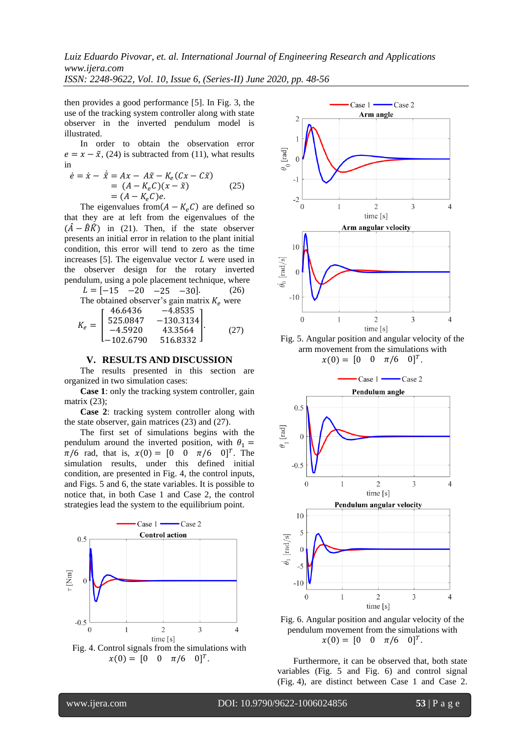*Luiz Eduardo Pivovar, et. al. International Journal of Engineering Research and Applications www.ijera.com*

*ISSN: 2248-9622, Vol. 10, Issue 6, (Series-II) June 2020, pp. 48-56*

then provides a good performance [5]. In Fig. 3, the use of the tracking system controller along with state observer in the inverted pendulum model is illustrated.

In order to obtain the observation error  $e = x - \tilde{x}$ , (24) is subtracted from (11), what results in

$$
\dot{e} = \dot{x} - \tilde{x} = Ax - A\tilde{x} - K_e(Cx - C\tilde{x})
$$
  
=  $(A - K_eC)(x - \tilde{x})$  (25)  
=  $(A - K_eC)e$ .

The eigenvalues from $(A - K_e C)$  are defined so that they are at left from the eigenvalues of the  $(\hat{A} - \hat{B}\hat{K})$  in (21). Then, if the state observer presents an initial error in relation to the plant initial condition, this error will tend to zero as the time increases [5]. The eigenvalue vector  $L$  were used in the observer design for the rotary inverted pendulum, using a pole placement technique, where

$$
L = [-15 \t -20 \t -25 \t -30].
$$
 (26)  
The obtained observer's gain matrix  $K_e$  were  

$$
K_e = \begin{bmatrix} 46.6436 & -4.8535 \\ 525.0847 & -130.3134 \\ -4.5920 & 43.3564 \\ -102.6790 & 516.8332 \end{bmatrix}.
$$
 (27)

#### **V. RESULTS AND DISCUSSION**

The results presented in this section are organized in two simulation cases:

**Case 1**: only the tracking system controller, gain matrix (23):

**Case 2**: tracking system controller along with the state observer, gain matrices (23) and (27).

The first set of simulations begins with the pendulum around the inverted position, with  $\theta_1$  =  $\pi/6$  rad, that is,  $x(0) = [0 \ 0 \ \pi/6 \ 0]^T$ . The simulation results, under this defined initial condition, are presented in Fig. 4, the control inputs, and Figs. 5 and 6, the state variables. It is possible to notice that, in both Case 1 and Case 2, the control strategies lead the system to the equilibrium point.





Fig. 5. Angular position and angular velocity of the arm movement from the simulations with  $x(0) = [0 \ 0 \ \pi/6 \ 0]^T$ .



Fig. 6. Angular position and angular velocity of the pendulum movement from the simulations with  $x(0) = [0 \ 0 \ \pi/6 \ 0]^T$ .

Furthermore, it can be observed that, both state variables (Fig. 5 and Fig. 6) and control signal (Fig. 4), are distinct between Case 1 and Case 2.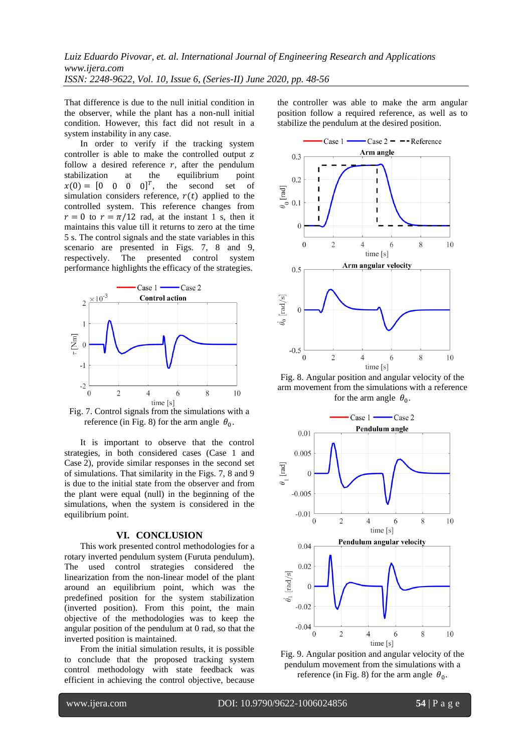That difference is due to the null initial condition in the observer, while the plant has a non-null initial condition. However, this fact did not result in a system instability in any case.

In order to verify if the tracking system controller is able to make the controlled output z follow a desired reference  $r$ , after the pendulum stabilization at the equilibrium point  $x(0) = [0 \ 0 \ 0 \ 0]^T$ , the second set of simulation considers reference,  $r(t)$  applied to the controlled system. This reference changes from  $r = 0$  to  $r = \pi/12$  rad, at the instant 1 s, then it maintains this value till it returns to zero at the time 5 s. The control signals and the state variables in this scenario are presented in Figs. 7, 8 and 9, respectively. The presented control system performance highlights the efficacy of the strategies.



Fig. 7. Control signals from the simulations with a reference (in Fig. 8) for the arm angle  $\theta_0$ .

It is important to observe that the control strategies, in both considered cases (Case 1 and Case 2), provide similar responses in the second set of simulations. That similarity in the Figs. 7, 8 and 9 is due to the initial state from the observer and from the plant were equal (null) in the beginning of the simulations, when the system is considered in the equilibrium point.

### **VI. CONCLUSION**

This work presented control methodologies for a rotary inverted pendulum system (Furuta pendulum). The used control strategies considered the linearization from the non-linear model of the plant around an equilibrium point, which was the predefined position for the system stabilization (inverted position). From this point, the main objective of the methodologies was to keep the angular position of the pendulum at 0 rad, so that the inverted position is maintained.

From the initial simulation results, it is possible to conclude that the proposed tracking system control methodology with state feedback was efficient in achieving the control objective, because the controller was able to make the arm angular position follow a required reference, as well as to stabilize the pendulum at the desired position.



Fig. 8. Angular position and angular velocity of the arm movement from the simulations with a reference for the arm angle  $\theta_0$ .



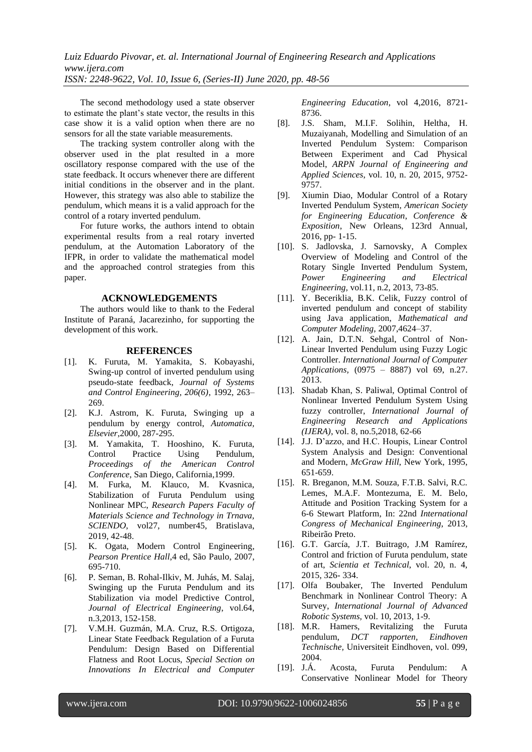The second methodology used a state observer to estimate the plant's state vector, the results in this case show it is a valid option when there are no sensors for all the state variable measurements.

The tracking system controller along with the observer used in the plat resulted in a more oscillatory response compared with the use of the state feedback. It occurs whenever there are different initial conditions in the observer and in the plant. However, this strategy was also able to stabilize the pendulum, which means it is a valid approach for the control of a rotary inverted pendulum.

For future works, the authors intend to obtain experimental results from a real rotary inverted pendulum, at the Automation Laboratory of the IFPR, in order to validate the mathematical model and the approached control strategies from this paper.

### **ACKNOWLEDGEMENTS**

The authors would like to thank to the Federal Institute of Paraná, Jacarezinho, for supporting the development of this work.

### **REFERENCES**

- [1]. K. Furuta, M. Yamakita, S. Kobayashi, Swing-up control of inverted pendulum using pseudo-state feedback, *Journal of Systems and Control Engineering, 206(6)*, 1992, 263– 269.
- [2]. K.J. Astrom, K. Furuta, Swinging up a pendulum by energy control, *Automatica, Elsevier*,2000, 287-295.
- [3]. M. Yamakita, T. Hooshino, K. Furuta, Control Practice Using Pendulum, *Proceedings of the American Control Conference*, San Diego, California,1999.
- [4]. M. Furka, M. Klauco, M. Kvasnica, Stabilization of Furuta Pendulum using Nonlinear MPC, *Research Papers Faculty of Materials Science and Technology in Trnava, SCIENDO*, vol27, number45, Bratislava, 2019, 42-48.
- [5]. K. Ogata, Modern Control Engineering, *Pearson Prentice Hall*,4 ed, São Paulo, 2007, 695-710.
- [6]. P. Seman, B. Rohal-Ilkiv, M. Juhás, M. Salaj, Swinging up the Furuta Pendulum and its Stabilization via model Predictive Control, *Journal of Electrical Engineering*, vol.64, n.3,2013, 152-158.
- [7]. V.M.H. Guzmán, M.A. Cruz, R.S. Ortigoza, Linear State Feedback Regulation of a Furuta Pendulum: Design Based on Differential Flatness and Root Locus, *Special Section on Innovations In Electrical and Computer*

*Engineering Education*, vol 4,2016, 8721- 8736.

- [8]. J.S. Sham, M.I.F. Solihin, Heltha, H. Muzaiyanah, Modelling and Simulation of an Inverted Pendulum System: Comparison Between Experiment and Cad Physical Model, *ARPN Journal of Engineering and Applied Sciences*, vol. 10, n. 20, 2015, 9752- 9757.
- [9]. Xiumin Diao, Modular Control of a Rotary Inverted Pendulum System*, American Society for Engineering Education*, *Conference & Exposition*, New Orleans, 123rd Annual, 2016, pp- 1-15.
- [10]. S. Jadlovska, J. Sarnovsky, A Complex Overview of Modeling and Control of the Rotary Single Inverted Pendulum System, *Power Engineering and Electrical Engineering,* vol.11, n.2, 2013, 73-85.
- [11]. Y. Beceriklia, B.K. Celik, Fuzzy control of inverted pendulum and concept of stability using Java application, *Mathematical and Computer Modeling,* 2007,4624–37.
- [12]. A. Jain, D.T.N. Sehgal, Control of Non-Linear Inverted Pendulum using Fuzzy Logic Controller. *International Journal of Computer Applications,* (0975 – 8887) vol 69, n.27. 2013.
- [13]. Shadab Khan, S. Paliwal, Optimal Control of Nonlinear Inverted Pendulum System Using fuzzy controller, *International Journal of Engineering Research and Applications (IJERA)*, vol. 8, no.5,2018, 62-66
- [14]. J.J. D'azzo, and H.C. Houpis, Linear Control System Analysis and Design: Conventional and Modern, *McGraw Hill*, New York, 1995, 651-659.
- [15]. R. Breganon, M.M. Souza, F.T.B. Salvi, R.C. Lemes, M.A.F. Montezuma, E. M. Belo, Attitude and Position Tracking System for a 6-6 Stewart Platform, In: 22nd *International Congress of Mechanical Engineering*, 2013, Ribeirão Preto.
- [16]. G.T. García, J.T. Buitrago, J.M Ramírez, Control and friction of Furuta pendulum, state of art, *Scientia et Technical*, vol. 20, n. 4, 2015, 326- 334.
- [17]. Olfa Boubaker, The Inverted Pendulum Benchmark in Nonlinear Control Theory: A Survey, *International Journal of Advanced Robotic Systems,* vol. 10, 2013, 1-9.
- [18]. M.R. Hamers, Revitalizing the Furuta pendulum, *DCT rapporten, Eindhoven Technische,* Universiteit Eindhoven, vol. 099, 2004.
- [19]. J.Á. Acosta, Furuta Pendulum: A Conservative Nonlinear Model for Theory